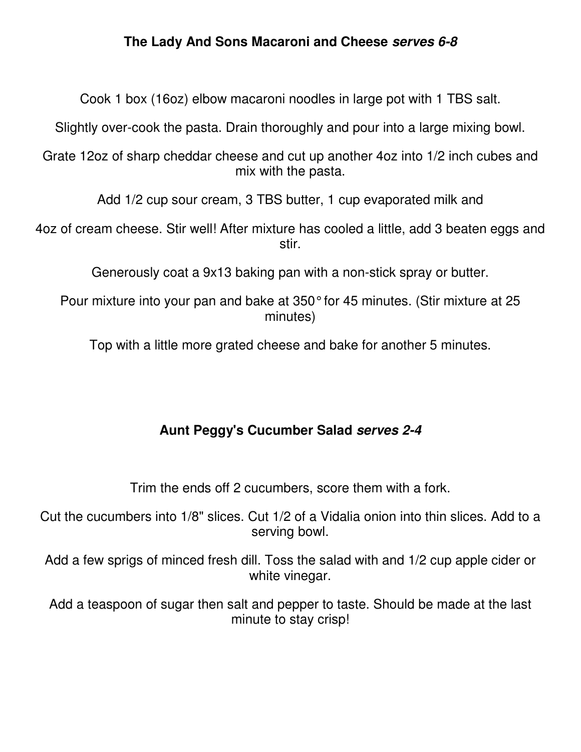## **The Lady And Sons Macaroni and Cheese serves 6-8**

Cook 1 box (16oz) elbow macaroni noodles in large pot with 1 TBS salt.

Slightly over-cook the pasta. Drain thoroughly and pour into a large mixing bowl.

Grate 12oz of sharp cheddar cheese and cut up another 4oz into 1/2 inch cubes and mix with the pasta.

Add 1/2 cup sour cream, 3 TBS butter, 1 cup evaporated milk and

4oz of cream cheese. Stir well! After mixture has cooled a little, add 3 beaten eggs and stir.

Generously coat a 9x13 baking pan with a non-stick spray or butter.

Pour mixture into your pan and bake at 350° for 45 minutes. (Stir mixture at 25 minutes)

Top with a little more grated cheese and bake for another 5 minutes.

## **Aunt Peggy's Cucumber Salad serves 2-4**

Trim the ends off 2 cucumbers, score them with a fork.

Cut the cucumbers into 1/8" slices. Cut 1/2 of a Vidalia onion into thin slices. Add to a serving bowl.

Add a few sprigs of minced fresh dill. Toss the salad with and 1/2 cup apple cider or white vinegar.

Add a teaspoon of sugar then salt and pepper to taste. Should be made at the last minute to stay crisp!